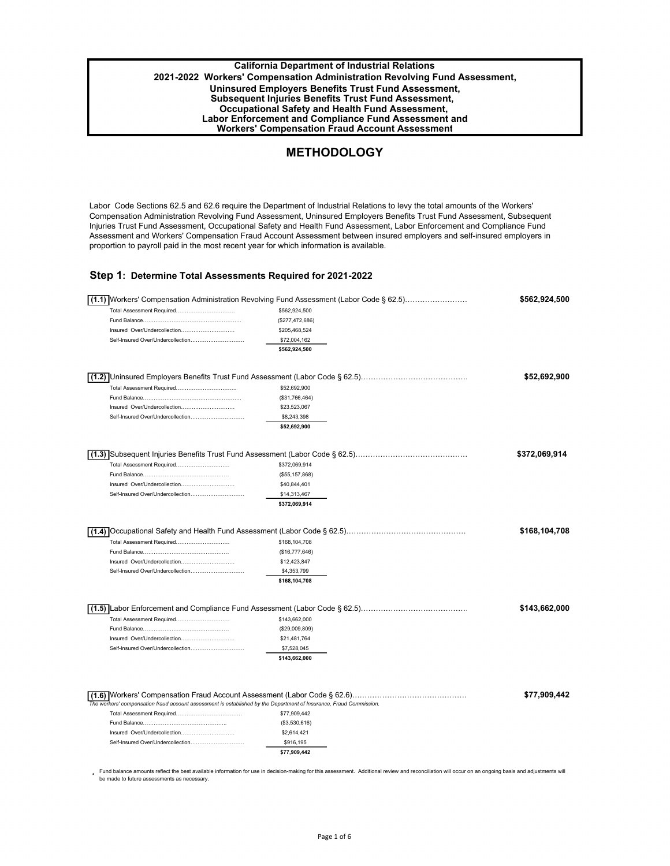**California Department of Industrial Relations 2021-2022 Workers' Compensation Administration Revolving Fund Assessment, Uninsured Employers Benefits Trust Fund Assessment, Subsequent Injuries Benefits Trust Fund Assessment, Occupational Safety and Health Fund Assessment, Labor Enforcement and Compliance Fund Assessment and Workers' Compensation Fraud Account Assessment** 

# **METHODOLOGY**

Labor Code Sections 62.5 and 62.6 require the Department of Industrial Relations to levy the total amounts of the Workers' Compensation Administration Revolving Fund Assessment, Uninsured Employers Benefits Trust Fund Assessment, Subsequent Injuries Trust Fund Assessment, Occupational Safety and Health Fund Assessment, Labor Enforcement and Compliance Fund Assessment and Workers' Compensation Fraud Account Assessment between insured employers and self-insured employers in proportion to payroll paid in the most recent year for which information is available.

### **Step 1: Determine Total Assessments Required for 2021-2022**

| Total Assessment Required                                         | \$562,924,500               |               |
|-------------------------------------------------------------------|-----------------------------|---------------|
|                                                                   | (\$277,472,686)             |               |
| Insured Over/Undercollection                                      | \$205,468,524               |               |
| Self-Insured Over/Undercollection                                 | \$72,004,162                |               |
|                                                                   | \$562,924,500               |               |
|                                                                   |                             |               |
|                                                                   |                             | \$52,692,900  |
| Total Assessment Required                                         | \$52,692,900                |               |
|                                                                   | (\$31,766,464)              |               |
| Insured Over/Undercollection                                      | \$23,523,067                |               |
| Self-Insured Over/Undercollection                                 | \$8,243,398                 |               |
|                                                                   | \$52,692,900                |               |
|                                                                   |                             | \$372,069,914 |
| Total Assessment Required                                         | \$372,069,914               |               |
|                                                                   | (\$55, 157, 868)            |               |
| Insured Over/Undercollection                                      | \$40,844,401                |               |
| Self-Insured Over/Undercollection                                 | \$14,313,467                |               |
|                                                                   | \$372,069,914               |               |
|                                                                   |                             | \$168,104,708 |
| Total Assessment Required                                         | \$168,104,708               |               |
|                                                                   | (\$16,777,646)              |               |
| Insured Over/Undercollection                                      | \$12,423,847                |               |
| Self-Insured Over/Undercollection                                 | \$4,353,799                 |               |
|                                                                   |                             |               |
|                                                                   | \$168,104,708               |               |
|                                                                   |                             | \$143,662,000 |
| Total Assessment Required                                         | \$143,662,000               |               |
|                                                                   | (\$29,009,809)              |               |
| Insured Over/Undercollection<br>Self-Insured Over/Undercollection | \$21,481,764<br>\$7,528,045 |               |

Fund balance amounts reflect the best available information for use in decision-making for this assessment. Additional review and reconciliation will occur on an ongoing basis and adjustments will<br>be made to future assessm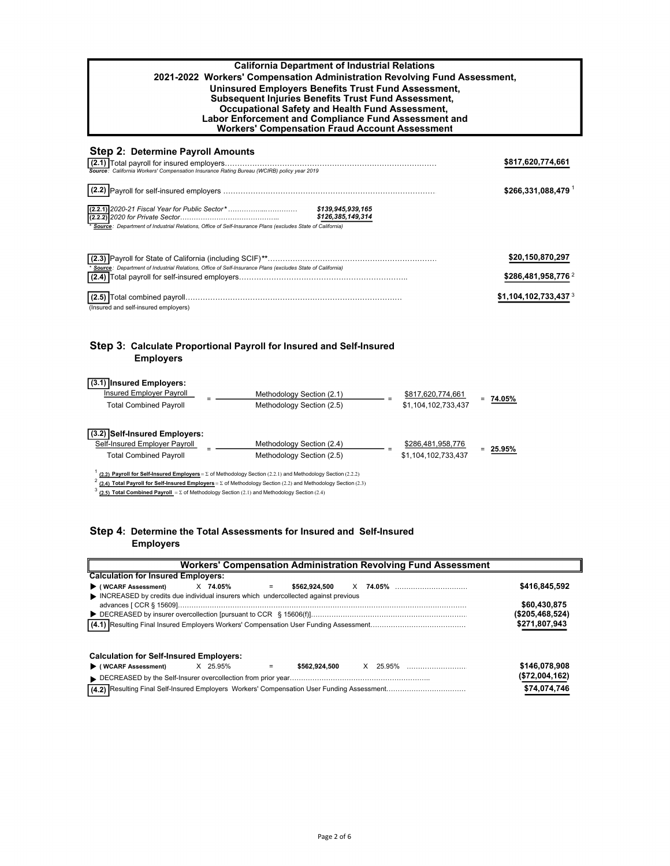| <b>California Department of Industrial Relations</b><br>2021-2022 Workers' Compensation Administration Revolving Fund Assessment,<br>Uninsured Employers Benefits Trust Fund Assessment,<br>Subsequent Injuries Benefits Trust Fund Assessment,<br>Occupational Safety and Health Fund Assessment,<br>Labor Enforcement and Compliance Fund Assessment and<br><b>Workers' Compensation Fraud Account Assessment</b> |                                                                              |  |  |
|---------------------------------------------------------------------------------------------------------------------------------------------------------------------------------------------------------------------------------------------------------------------------------------------------------------------------------------------------------------------------------------------------------------------|------------------------------------------------------------------------------|--|--|
| <b>Step 2: Determine Payroll Amounts</b><br>Source: California Workers' Compensation Insurance Rating Bureau (WCIRB) policy year 2019<br>\$126,385,149,314<br>Source: Department of Industrial Relations, Office of Self-Insurance Plans (excludes State of California)                                                                                                                                             | \$817,620,774,661<br>\$266,331,088,479                                       |  |  |
| Source: Department of Industrial Relations, Office of Self-Insurance Plans (excludes State of California)<br>(Insured and self-insured employers)                                                                                                                                                                                                                                                                   | \$20,150,870,297<br>\$286,481,958,776 2<br>$$1,104,102,733,437$ <sup>3</sup> |  |  |

## **Step 3: Calculate Proportional Payroll for Insured and Self-Insured Employers**

| (3.1) Insured Employers:<br>Insured Employer Payroll           | Methodology Section (2.1) | \$817,620,774,661   |               |
|----------------------------------------------------------------|---------------------------|---------------------|---------------|
| <b>Total Combined Payroll</b>                                  | Methodology Section (2.5) | \$1,104,102,733,437 | 74.05%<br>$=$ |
| (3.2) Self-Insured Employers:<br>Self-Insured Employer Payroll | Methodology Section (2.4) | \$286,481,958,776   |               |
| <b>Total Combined Payroll</b>                                  | Methodology Section (2.5) | \$1,104,102,733,437 | 25.95%        |
|                                                                |                           |                     |               |

 $^1$  (2.2) Payroll for Self-Insured Employers =  $\Sigma$  of Methodology Section (2.2.1) and Methodology Section (2.2.2)

 $^2$  (2.4) Total Payroll for Self-Insured Employers =  $\Sigma$  of Methodology Section (2.2) and Methodology Section (2.3)

 $3$  (2.5) Total Combined Payroll =  $\Sigma$  of Methodology Section (2.1) and Methodology Section (2.4)

## **Step 4: Determine the Total Assessments for Insured and Self-Insured Employers**

| <b>Workers' Compensation Administration Revolving Fund Assessment</b>              |                 |  |  |  |  |
|------------------------------------------------------------------------------------|-----------------|--|--|--|--|
| <b>Calculation for Insured Employers:</b>                                          |                 |  |  |  |  |
| $\blacktriangleright$ (WCARF Assessment)<br>X 74.05%<br>\$562.924.500<br>$=$       | \$416,845,592   |  |  |  |  |
| INCREASED by credits due individual insurers which undercollected against previous |                 |  |  |  |  |
|                                                                                    | \$60,430,875    |  |  |  |  |
|                                                                                    | (\$205,468,524) |  |  |  |  |
|                                                                                    | \$271,807,943   |  |  |  |  |
| <b>Calculation for Self-Insured Employers:</b>                                     |                 |  |  |  |  |
| X 25.95%<br>▶ (WCARF Assessment)<br>\$562.924.500<br>$=$                           | \$146,078,908   |  |  |  |  |
|                                                                                    | (\$72,004,162)  |  |  |  |  |
|                                                                                    | \$74,074,746    |  |  |  |  |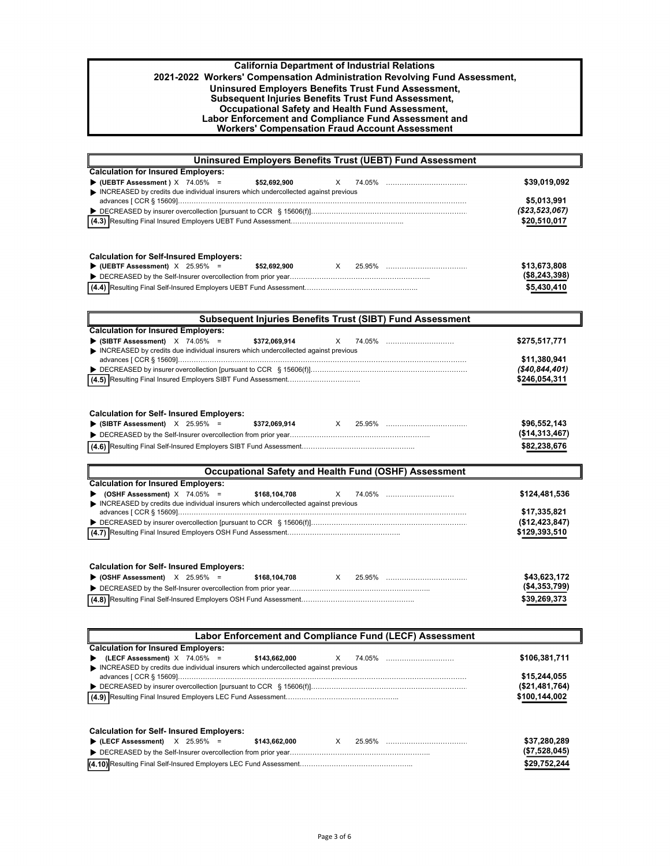| Labor Enforcement and Compliance Fund Assessment and<br><b>Workers' Compensation Fraud Account Assessment</b> |  |
|---------------------------------------------------------------------------------------------------------------|--|
| Occupational Safety and Health Fund Assessment,                                                               |  |
| <b>Subsequent Injuries Benefits Trust Fund Assessment,</b>                                                    |  |
| Uninsured Employers Benefits Trust Fund Assessment,                                                           |  |
| 2021-2022 Workers' Compensation Administration Revolving Fund Assessment,                                     |  |
| <b>California Department of Industrial Relations</b>                                                          |  |

| <b>Uninsured Employers Benefits Trust (UEBT) Fund Assessment</b>                                                                                                       |                                |
|------------------------------------------------------------------------------------------------------------------------------------------------------------------------|--------------------------------|
| <b>Calculation for Insured Employers:</b>                                                                                                                              |                                |
| $\blacktriangleright$ (UEBTF Assessment ) $\times$ 74.05% =<br>\$52.692.900<br>x<br>INCREASED by credits due individual insurers which undercollected against previous | \$39,019,092                   |
|                                                                                                                                                                        | \$5,013,991                    |
|                                                                                                                                                                        | ( \$23,523,067)                |
|                                                                                                                                                                        | \$20,510,017                   |
|                                                                                                                                                                        |                                |
|                                                                                                                                                                        |                                |
| <b>Calculation for Self-Insured Employers:</b><br>$\blacktriangleright$ (UEBTF Assessment) $\times$ 25.95% =<br>\$52.692.900<br>X<br>25.95%                            | \$13,673,808                   |
|                                                                                                                                                                        | (\$8,243,398)                  |
|                                                                                                                                                                        | \$5,430,410                    |
|                                                                                                                                                                        |                                |
| Subsequent Injuries Benefits Trust (SIBT) Fund Assessment                                                                                                              |                                |
| <b>Calculation for Insured Employers:</b>                                                                                                                              |                                |
| $\blacktriangleright$ (SIBTF Assessment) $\times$ 74.05% =<br>\$372,069,914<br>x<br>74.05%                                                                             | \$275,517,771                  |
| INCREASED by credits due individual insurers which undercollected against previous                                                                                     |                                |
|                                                                                                                                                                        | \$11,380,941<br>(\$40,844,401) |
|                                                                                                                                                                        | \$246,054,311                  |
|                                                                                                                                                                        |                                |
|                                                                                                                                                                        |                                |
| <b>Calculation for Self- Insured Employers:</b>                                                                                                                        |                                |
| $\blacktriangleright$ (SIBTF Assessment) $\times$ 25.95% =<br>\$372,069,914<br>$\times$                                                                                | \$96,552,143                   |
|                                                                                                                                                                        | (\$14,313,467)                 |
|                                                                                                                                                                        | \$82,238,676                   |
|                                                                                                                                                                        |                                |
| Occupational Safety and Health Fund (OSHF) Assessment                                                                                                                  |                                |
| <b>Calculation for Insured Employers:</b>                                                                                                                              |                                |
| $\blacktriangleright$ (OSHF Assessment) $\times$ 74.05% =<br>\$168,104,708<br>X<br>INCREASED by credits due individual insurers which undercollected against previous  | \$124,481,536                  |
|                                                                                                                                                                        | \$17,335,821                   |
|                                                                                                                                                                        | (\$12,423,847)                 |
|                                                                                                                                                                        | \$129,393,510                  |
|                                                                                                                                                                        |                                |
|                                                                                                                                                                        |                                |
| <b>Calculation for Self- Insured Employers:</b>                                                                                                                        |                                |
| $\triangleright$ (OSHF Assessment) $\times$ 25.95% =<br>\$168,104,708<br>$\times$                                                                                      | \$43,623,172<br>(\$4,353,799)  |
|                                                                                                                                                                        | \$39,269,373                   |
|                                                                                                                                                                        |                                |
|                                                                                                                                                                        |                                |

| Labor Enforcement and Compliance Fund (LECF) Assessment                                |                |  |  |  |
|----------------------------------------------------------------------------------------|----------------|--|--|--|
| <b>Calculation for Insured Employers:</b>                                              |                |  |  |  |
| (LECF Assessment) $X$ 74.05% =<br>\$143.662.000                                        | \$106,381,711  |  |  |  |
| NICREASED by credits due individual insurers which undercollected against previous     |                |  |  |  |
|                                                                                        | \$15,244,055   |  |  |  |
|                                                                                        | (\$21,481,764) |  |  |  |
|                                                                                        | \$100,144,002  |  |  |  |
| <b>Calculation for Self- Insured Employers:</b>                                        |                |  |  |  |
| $\blacktriangleright$ (LECF Assessment) $\times$ 25.95% =<br>$\times$<br>\$143.662.000 | \$37,280,289   |  |  |  |
|                                                                                        | (\$7,528,045)  |  |  |  |
|                                                                                        | \$29,752,244   |  |  |  |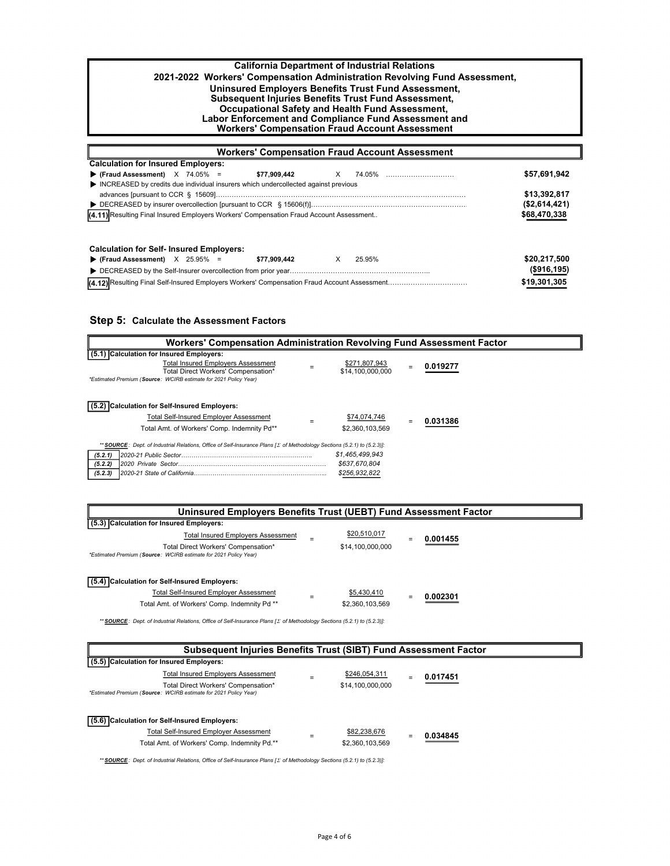| <b>California Department of Industrial Relations</b>                      |
|---------------------------------------------------------------------------|
| 2021-2022 Workers' Compensation Administration Revolving Fund Assessment, |
| Uninsured Employers Benefits Trust Fund Assessment.                       |
| <b>Subsequent Injuries Benefits Trust Fund Assessment,</b>                |
| Occupational Safety and Health Fund Assessment,                           |
| Labor Enforcement and Compliance Fund Assessment and                      |
| <b>Workers' Compensation Fraud Account Assessment</b>                     |
|                                                                           |

| <b>Workers' Compensation Fraud Account Assessment</b>                                   |             |               |  |  |  |  |
|-----------------------------------------------------------------------------------------|-------------|---------------|--|--|--|--|
| <b>Calculation for Insured Employers:</b>                                               |             |               |  |  |  |  |
| $\blacktriangleright$ (Fraud Assessment) $\times$ 74.05% =<br>\$77,909,442              | X 74.05%    | \$57,691,942  |  |  |  |  |
| INCREASED by credits due individual insurers which undercollected against previous      |             |               |  |  |  |  |
|                                                                                         |             | \$13,392,817  |  |  |  |  |
|                                                                                         |             | (\$2,614,421) |  |  |  |  |
| (4.11) Resulting Final Insured Employers Workers' Compensation Fraud Account Assessment |             | \$68,470,338  |  |  |  |  |
|                                                                                         |             |               |  |  |  |  |
| <b>Calculation for Self- Insured Employers:</b>                                         |             |               |  |  |  |  |
| Fraud Assessment) $X$ 25.95% =<br>\$77.909.442                                          | X<br>25.95% | \$20,217,500  |  |  |  |  |
|                                                                                         |             | (\$916, 195)  |  |  |  |  |
|                                                                                         |             | \$19,301,305  |  |  |  |  |

## **Step 5: Calculate the Assessment Factors**

| Workers' Compensation Administration Revolving Fund Assessment Factor                                                            |                                   |  |          |  |  |
|----------------------------------------------------------------------------------------------------------------------------------|-----------------------------------|--|----------|--|--|
| (5.1) Calculation for Insured Employers:                                                                                         |                                   |  |          |  |  |
| <b>Total Insured Emplovers Assessment</b><br>Total Direct Workers' Compensation*                                                 | \$271,807,943<br>\$14.100.000.000 |  | 0.019277 |  |  |
| *Estimated Premium (Source: WCIRB estimate for 2021 Policy Year)                                                                 |                                   |  |          |  |  |
| Calculation for Self-Insured Employers:                                                                                          |                                   |  |          |  |  |
| <b>Total Self-Insured Emplover Assessment</b>                                                                                    | \$74,074,746                      |  | 031386   |  |  |
| Total Amt. of Workers' Comp. Indemnity Pd**                                                                                      | \$2,360,103,569                   |  |          |  |  |
| ** SOURCE: Dept. of Industrial Relations, Office of Self-Insurance Plans [ $\Sigma$ of Methodology Sections (5.2.1) to (5.2.3)]: |                                   |  |          |  |  |
| (5.2.1)                                                                                                                          | \$1,465,499,943                   |  |          |  |  |
| (5.2.2)                                                                                                                          | \$637,670,804                     |  |          |  |  |
| (5.2.3)                                                                                                                          | \$256,932,822                     |  |          |  |  |

| Uninsured Employers Benefits Trust (UEBT) Fund Assessment Factor                                        |  |                  |  |          |  |  |
|---------------------------------------------------------------------------------------------------------|--|------------------|--|----------|--|--|
| (5.3) Calculation for Insured Employers:                                                                |  |                  |  |          |  |  |
| <b>Total Insured Employers Assessment</b>                                                               |  | \$20,510,017     |  | 0.001455 |  |  |
| Total Direct Workers' Compensation*<br>*Estimated Premium (Source: WCIRB estimate for 2021 Policy Year) |  | \$14,100,000,000 |  |          |  |  |
| (5.4) Calculation for Self-Insured Employers:                                                           |  |                  |  |          |  |  |
| <b>Total Self-Insured Employer Assessment</b>                                                           |  | \$5,430,410      |  | 0.002301 |  |  |
| Total Amt. of Workers' Comp. Indemnity Pd **                                                            |  | \$2,360,103,569  |  |          |  |  |

*\*\* SOURCE : Dept. of Industrial Relations, Office of Self-Insurance Plans [ of Methodology Sections (5.2.1) to (5.2.3)]:* 

| Subsequent Injuries Benefits Trust (SIBT) Fund Assessment Factor |                                                                                                         |  |                                 |     |          |
|------------------------------------------------------------------|---------------------------------------------------------------------------------------------------------|--|---------------------------------|-----|----------|
| (5.5) Calculation for Insured Employers:                         |                                                                                                         |  |                                 |     |          |
|                                                                  | Total Insured Emplovers Assessment                                                                      |  | \$246,054,311                   | $=$ | 0.017451 |
|                                                                  | Total Direct Workers' Compensation*<br>*Estimated Premium (Source: WCIRB estimate for 2021 Policy Year) |  | \$14,100,000,000                |     |          |
| (5.6) Calculation for Self-Insured Employers:                    | Total Self-Insured Employer Assessment<br>Total Amt. of Workers' Comp. Indemnity Pd.**                  |  | \$82,238,676<br>\$2,360,103,569 |     | 0.034845 |

*\*\* SOURCE : Dept. of Industrial Relations, Office of Self-Insurance Plans [ of Methodology Sections (5.2.1) to (5.2.3)]:*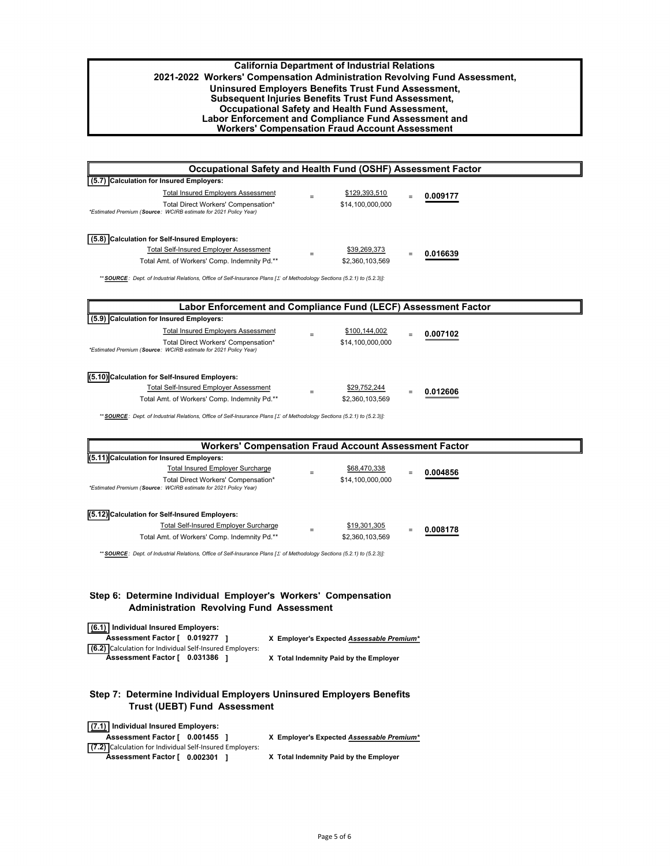### **California Department of Industrial Relations 2021-2022 Workers' Compensation Administration Revolving Fund Assessment, Uninsured Employers Benefits Trust Fund Assessment, Subsequent Injuries Benefits Trust Fund Assessment, Occupational Safety and Health Fund Assessment, Labor Enforcement and Compliance Fund Assessment and Workers' Compensation Fraud Account Assessment**

| Occupational Safety and Health Fund (OSHF) Assessment Factor                                            |     |                  |          |
|---------------------------------------------------------------------------------------------------------|-----|------------------|----------|
| (5.7) Calculation for Insured Employers:                                                                |     |                  |          |
| <b>Total Insured Employers Assessment</b>                                                               |     | \$129,393,510    | 0.009177 |
| Total Direct Workers' Compensation*<br>*Estimated Premium (Source: WCIRB estimate for 2021 Policy Year) |     | \$14,100,000,000 |          |
| (5.8) Calculation for Self-Insured Employers:                                                           |     |                  |          |
| <b>Total Self-Insured Emplover Assessment</b>                                                           | $=$ | \$39,269,373     | 0.016639 |
| Total Amt. of Workers' Comp. Indemnity Pd.**                                                            |     | \$2,360,103,569  |          |

*\*\* SOURCE : Dept. of Industrial Relations, Office of Self-Insurance Plans [ of Methodology Sections (5.2.1) to (5.2.3)]:* 

| Labor Enforcement and Compliance Fund (LECF) Assessment Factor                                          |  |                  |     |          |  |
|---------------------------------------------------------------------------------------------------------|--|------------------|-----|----------|--|
| (5.9) Calculation for Insured Employers:                                                                |  |                  |     |          |  |
| <b>Total Insured Emplovers Assessment</b>                                                               |  | \$100,144,002    | $=$ | 0.007102 |  |
| Total Direct Workers' Compensation*<br>*Estimated Premium (Source: WCIRB estimate for 2021 Policy Year) |  | \$14,100,000,000 |     |          |  |
| (5.10) Calculation for Self-Insured Employers:                                                          |  |                  |     |          |  |
| <b>Total Self-Insured Emplover Assessment</b>                                                           |  | \$29,752,244     | $=$ | 0.012606 |  |
| Total Amt. of Workers' Comp. Indemnity Pd.**                                                            |  | \$2,360,103,569  |     |          |  |

*\*\* SOURCE : Dept. of Industrial Relations, Office of Self-Insurance Plans [ of Methodology Sections (5.2.1) to (5.2.3)]:* 

| <b>Workers' Compensation Fraud Account Assessment Factor</b>                                                                            |                                 |          |
|-----------------------------------------------------------------------------------------------------------------------------------------|---------------------------------|----------|
| (5.11) Calculation for Insured Employers:                                                                                               |                                 |          |
| Total Insured Employer Surcharge                                                                                                        | \$68,470,338                    | 0.004856 |
| Total Direct Workers' Compensation*<br>*Estimated Premium (Source: WCIRB estimate for 2021 Policy Year)                                 | \$14,100,000,000                |          |
| (5.12) Calculation for Self-Insured Employers:<br>Total Self-Insured Employer Surcharge<br>Total Amt. of Workers' Comp. Indemnity Pd.** | \$19,301,305<br>\$2,360,103,569 | 0.008178 |

H

*\*\* SOURCE : Dept. of Industrial Relations, Office of Self-Insurance Plans [ of Methodology Sections (5.2.1) to (5.2.3)]:* 

### **Step 6: Determine Individual Employer's Workers' Compensation Administration Revolving Fund Assessment**

| (6.1) Individual Insured Employers:                      |                                           |
|----------------------------------------------------------|-------------------------------------------|
| Assessment Factor [ 0.019277 ]                           | X Employer's Expected Assessable Premium* |
| (6.2) Calculation for Individual Self-Insured Employers: |                                           |
| Assessment Factor [ 0.031386                             | X Total Indemnity Paid by the Employer    |

### **Step 7: Determine Individual Employers Uninsured Employers Benefits Trust (UEBT) Fund Assessment**

| (7.1) Individual Insured Employers:                      |                                           |
|----------------------------------------------------------|-------------------------------------------|
| Assessment Factor [ 0.001455                             | X Employer's Expected Assessable Premium* |
| (7.2) Calculation for Individual Self-Insured Employers: |                                           |
| Assessment Factor [ 0.002301 ]                           | X Total Indemnity Paid by the Employer    |